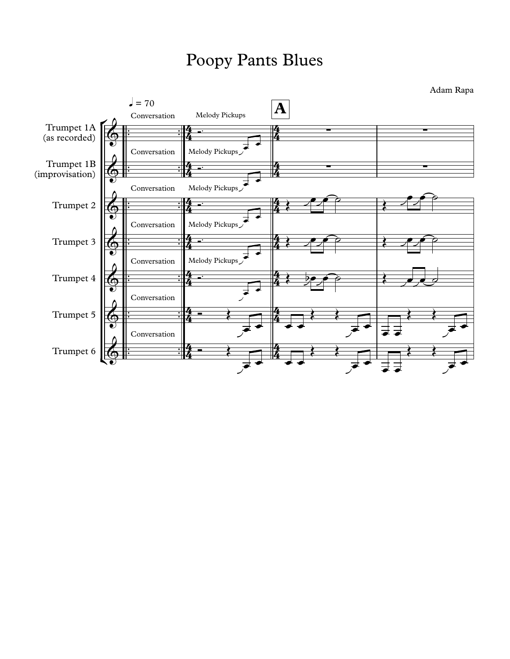## Poopy Pants Blues



Adam Rapa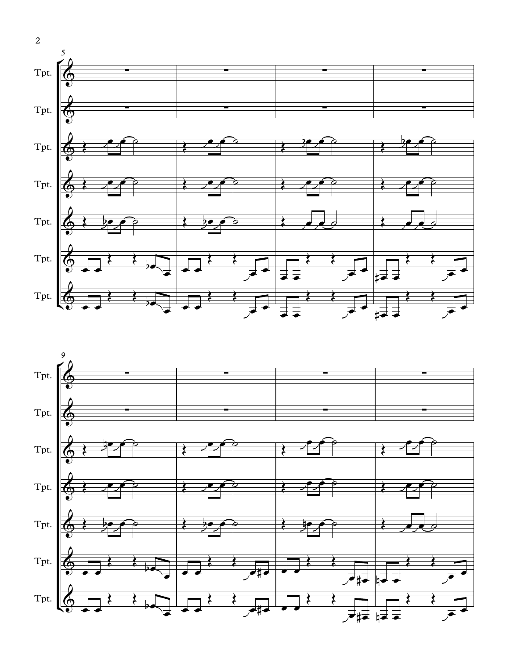

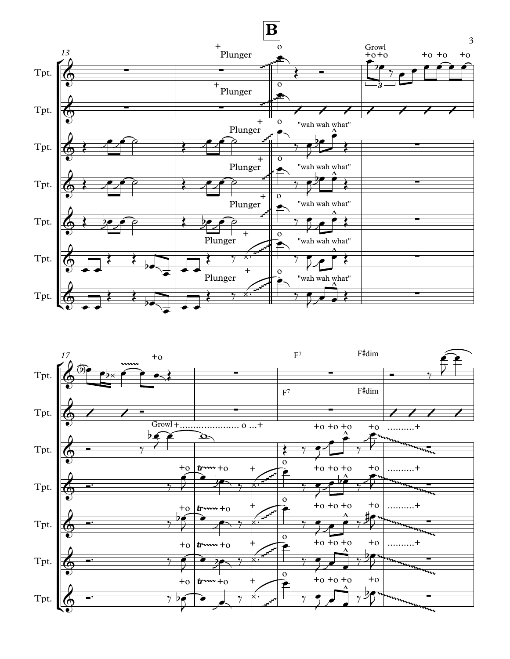

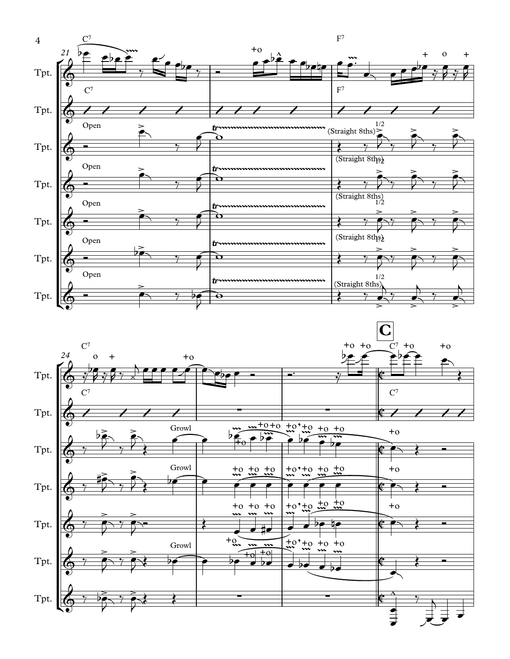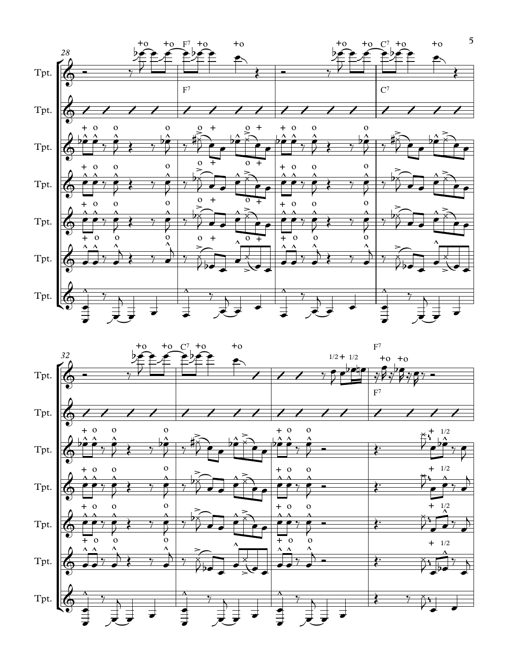

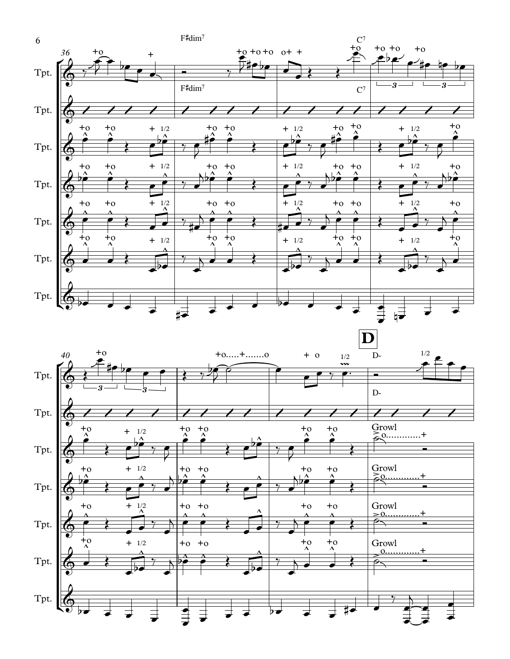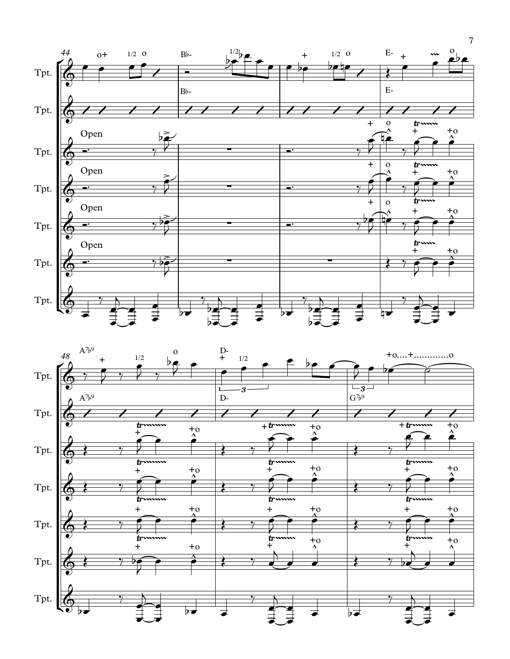